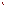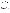## **THE ENVIRONMENTAL TECHNOLOGY VERIFICATION**







# **ETV Joint Verification Statement**

|                                      | <b>TECHNOLOGY TYPE:</b> Ultraviolet Open-Path Monitor            |                       |                              |
|--------------------------------------|------------------------------------------------------------------|-----------------------|------------------------------|
| <b>APPLICATION:</b>                  | <b>MONITORING AIR QUALITY</b>                                    |                       |                              |
|                                      | <b>TECHNOLOGY NAME: SafEye 420 Ultraviolet Open-Path Monitor</b> |                       |                              |
| <b>COMPANY:</b>                      | <b>Spectrex Inc.</b>                                             |                       |                              |
| <b>ADDRESS:</b>                      | <b>218 Little Falls Road</b><br>Cedar Grove, NJ 07009            | <b>PHONE:</b><br>FAX: | 973-239-8398<br>973-239-7614 |
| <b>WEB SITE:</b><br>$E\text{-}MAIL:$ | http://www.spectrex-inc.com/safeye<br>spectrex@spectrex-inc.com  |                       |                              |

The U.S. Environmental Protection Agency (EPA) has created the Environmental Technology Verification (ETV) Program to facilitate the deployment of innovative or improved environmental technologies through performance verification and dissemination of information. The goal of the ETV Program is to further environmental protection by substantially accelerating the acceptance and use of improved and cost-effective technologies. ETV seeks to achieve this goal by providing high quality, peer-reviewed data on technology performance to those involved in the design, distribution, financing, permitting, purchase, and use of environmental technologies.

ETV works in partnership with recognized standards and testing organizations; with stakeholder groups that consist of buyers, vendor organizations, and permitters; and with the full participation of individual technology developers. The program evaluates the performance of innovative technologies by developing test plans that are responsive to the needs of stakeholders, conducting field or laboratory tests (as appropriate), collecting and analyzing data, and preparing peer-reviewed reports. All evaluations are conducted in accordance with rigorous quality assurance protocols to ensure that data of known and adequate quality are generated and that the results are defensible.

The Advanced Monitoring Systems (AMS) Center, one of six technology areas under ETV, is operated by Battelle in cooperation with EPA's National Exposure Research Laboratory. The AMS Center has recently evaluated the performance of optical open-path monitors used to determine pollutants in outdoor air. This verification statement provides a summary of the test results for the Spectrex Inc. SafEye 420 ultraviolet (UV) open-path monitor.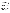#### **VERIFICATION TEST DESCRIPTION**

The test was designed to challenge the SafEye 420 in a manner simulating field operations. The monitor was challenged in a controlled and uniform manner, using an optically transparent gas cell filled with known concentrations of a target gas. The gas cell was inserted into the optical path of the monitor during operation under field conditions, simulating the presence of the target gas in the ambient air. The monitor was challenged with three target gases commonly measured by this monitor (carbon disulfide, benzene, and ammonia) at known concentrations, and the measurement results were compared to the known concentration of the target gas. The verification was conducted by measuring the three gases in a fixed sequence over three days. National Institute of Standards and Technology-traceable or commercially certified standard gases, a calibrated gas diluter, and a supply of certified high-purity dilution gas were used to supply the target gases to the gas cell.

Target gases were measured at different path lengths, integration times, source intensities, and numbers of replicate measurements to assess minimum detection limit (MDL), source strength linearity, concentration linearity, accuracy, precision, and sensitivity to atmospheric interferences. The test procedures were nested, in that each measurement was used to evaluate more than one of the above parameters. Cells were flushed periodically with high-purity nitrogen. The MDL was calculated for each target gas by supplying pure nitrogen to the gas cell in the optical path of the monitor and taking a series of 25 measurements using integration times of 1 and 5 minutes. Two types of linearity were investigated during this verification: source strength and concentration. Source strength linearity was investigated by measuring the effects on the monitor's performance by changing the source intensity. Concentration linearity was investigated by challenging the SafEye 420 with each target gas at varying concentrations, while the path length and integration time were kept constant. Accuracy of the monitor relative to the gas standards was verified by introducing known concentrations of the target gas into the cell. The procedure for determining precision was very similar to the procedure for determining accuracy. The effects of interfering gases were established by supplying the gas cell with a target gas and varying the distance (i.e., the path length) between the source and detector of the monitor.

Quality assurance (QA) oversight of verification testing was provided by Battelle. Battelle QA staff conducted a data quality audit of 10% of the test data. Battelle testing staff also conducted a performance evaluation audit, which was reviewed by QA staff. In addition, during previous verifications of optical open-path monitors, EPA QA staff conducted an independent technical systems audit of the procedures used in this verification.

#### **TECHNOLOGY DESCRIPTION**

The SafEye 420 is an alarm system that detects ammonia, aromatics, and hydrogen sulfide, using a high-intensity UV flash source. The detector's three-sensor design includes two absorbed and one reference band sensors. Depending on the gas to be monitored, the band range of the sensors can be tailored with a dip switch to match specific absorption regions. The SafEye 420 is made up of two components: a flash source and a detector. These components can be separated to measure ambient gas concentrations over a path length from 1 to 140 meters. The flash source projects a wavelength (specific for the type of gas to be measured) to the detector over an unobstructed line of sight. The beam is attenuated when a hazardous gas traverses it at any point along its path. The detector measures the amount of attenuation by means of two narrow-band sensors and compares this information to a third reference sensor input that is not affected by the subject gas or environmental factors. The detector's microprocessor software interprets the data and provides output signals in terms of parts per million meters (ppm\*m). The detector transmits the data via a 4 to 20 mA signal or an RS485 port or, if a pre-set gas concentration is exceeded, closes one of three contacts. All the SafEye models (ultraviolet and infrared) are approved for industrial applications by international standards: CENELEC explosion-proof enclosures (per EN 50014, 50018, and 50019), Underwriter's Laboratory, and Factory Method (Class I Division 1, Groups B, C, and D and Class II Division 1, Groups E, F, and G).